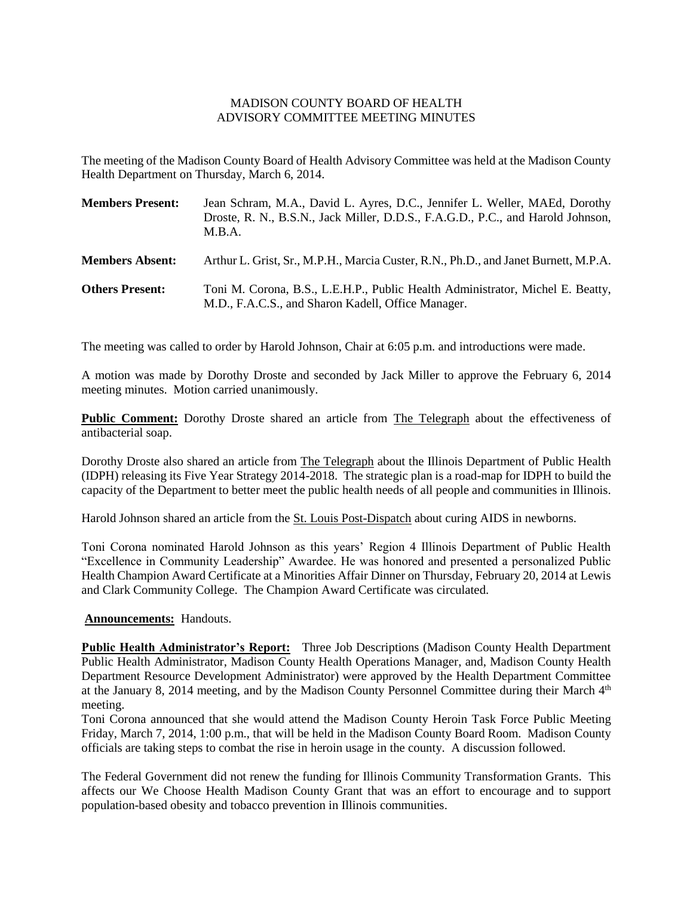## MADISON COUNTY BOARD OF HEALTH ADVISORY COMMITTEE MEETING MINUTES

The meeting of the Madison County Board of Health Advisory Committee was held at the Madison County Health Department on Thursday, March 6, 2014.

| <b>Members Present:</b> | Jean Schram, M.A., David L. Ayres, D.C., Jennifer L. Weller, MAEd, Dorothy<br>Droste, R. N., B.S.N., Jack Miller, D.D.S., F.A.G.D., P.C., and Harold Johnson,<br>M.R.A. |
|-------------------------|-------------------------------------------------------------------------------------------------------------------------------------------------------------------------|
| <b>Members Absent:</b>  | Arthur L. Grist, Sr., M.P.H., Marcia Custer, R.N., Ph.D., and Janet Burnett, M.P.A.                                                                                     |
| <b>Others Present:</b>  | Toni M. Corona, B.S., L.E.H.P., Public Health Administrator, Michel E. Beatty,<br>M.D., F.A.C.S., and Sharon Kadell, Office Manager.                                    |

The meeting was called to order by Harold Johnson, Chair at 6:05 p.m. and introductions were made.

A motion was made by Dorothy Droste and seconded by Jack Miller to approve the February 6, 2014 meeting minutes. Motion carried unanimously.

**Public Comment:** Dorothy Droste shared an article from The Telegraph about the effectiveness of antibacterial soap.

Dorothy Droste also shared an article from The Telegraph about the Illinois Department of Public Health (IDPH) releasing its Five Year Strategy 2014-2018. The strategic plan is a road-map for IDPH to build the capacity of the Department to better meet the public health needs of all people and communities in Illinois.

Harold Johnson shared an article from the St. Louis Post-Dispatch about curing AIDS in newborns.

Toni Corona nominated Harold Johnson as this years' Region 4 Illinois Department of Public Health "Excellence in Community Leadership" Awardee. He was honored and presented a personalized Public Health Champion Award Certificate at a Minorities Affair Dinner on Thursday, February 20, 2014 at Lewis and Clark Community College. The Champion Award Certificate was circulated.

## **Announcements:** Handouts.

**Public Health Administrator's Report:** Three Job Descriptions (Madison County Health Department Public Health Administrator, Madison County Health Operations Manager, and, Madison County Health Department Resource Development Administrator) were approved by the Health Department Committee at the January 8, 2014 meeting, and by the Madison County Personnel Committee during their March  $4<sup>th</sup>$ meeting.

Toni Corona announced that she would attend the Madison County Heroin Task Force Public Meeting Friday, March 7, 2014, 1:00 p.m., that will be held in the Madison County Board Room. Madison County officials are taking steps to combat the rise in heroin usage in the county. A discussion followed.

The Federal Government did not renew the funding for Illinois Community Transformation Grants. This affects our We Choose Health Madison County Grant that was an effort to encourage and to support population-based obesity and tobacco prevention in Illinois communities.